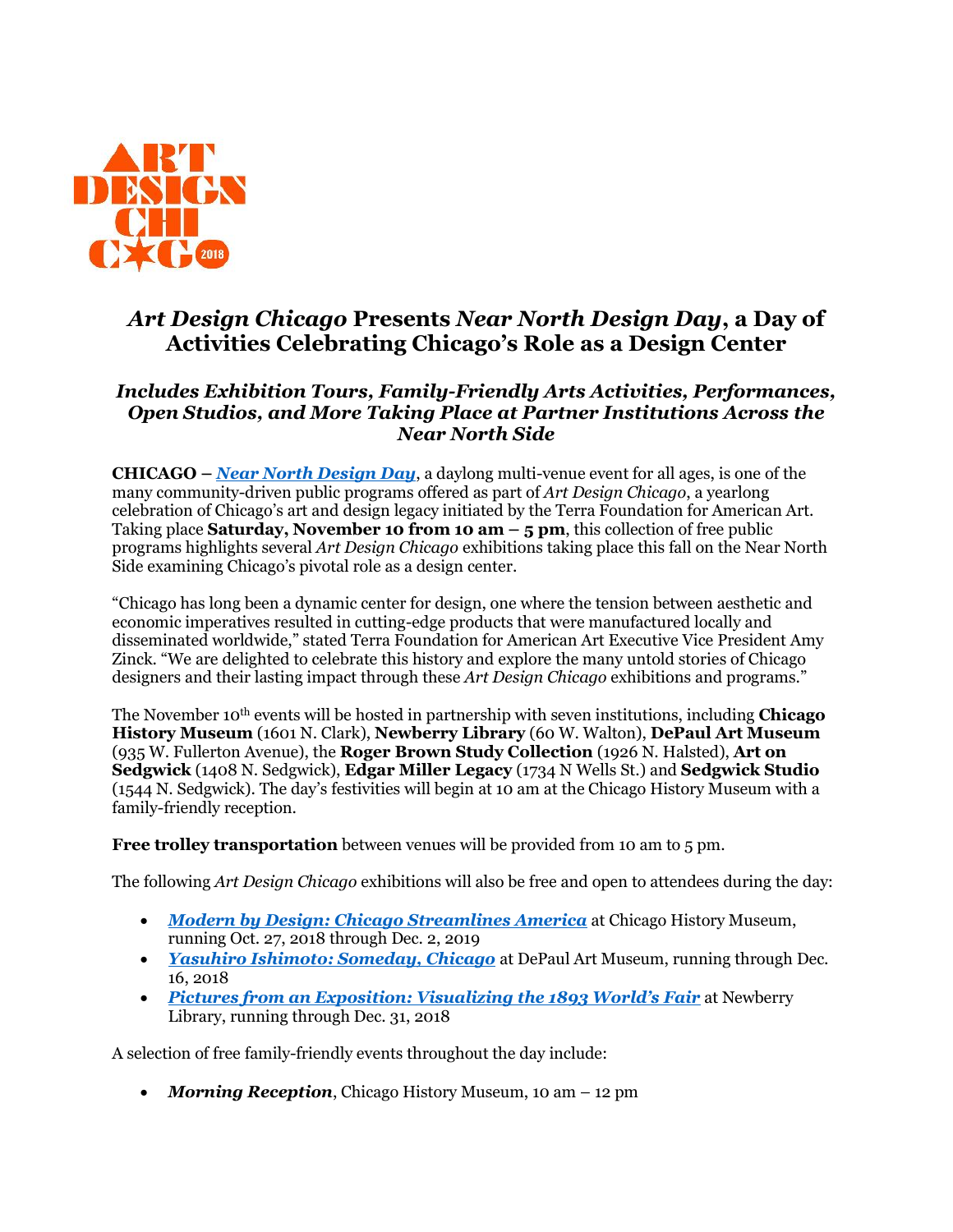

## *Art Design Chicago* **Presents** *Near North Design Day***, a Day of Activities Celebrating Chicago's Role as a Design Center**

## *Includes Exhibition Tours, Family-Friendly Arts Activities, Performances, Open Studios, and More Taking Place at Partner Institutions Across the Near North Side*

**CHICAGO –** *[Near North Design Day](https://www.artdesignchicago.org/events/near-north-design-day)*, a daylong multi-venue event for all ages, is one of the many community-driven public programs offered as part of *Art Design Chicago*, a yearlong celebration of Chicago's art and design legacy initiated by the Terra Foundation for American Art. Taking place **Saturday, November 10 from 10 am – 5 pm**, this collection of free public programs highlights several *Art Design Chicago* exhibitions taking place this fall on the Near North Side examining Chicago's pivotal role as a design center.

"Chicago has long been a dynamic center for design, one where the tension between aesthetic and economic imperatives resulted in cutting-edge products that were manufactured locally and disseminated worldwide," stated Terra Foundation for American Art Executive Vice President Amy Zinck. "We are delighted to celebrate this history and explore the many untold stories of Chicago designers and their lasting impact through these *Art Design Chicago* exhibitions and programs."

The November 10th events will be hosted in partnership with seven institutions, including **Chicago History Museum** (1601 N. Clark), **Newberry Library** (60 W. Walton), **DePaul Art Museum** (935 W. Fullerton Avenue), the **Roger Brown Study Collection** (1926 N. Halsted), **Art on Sedgwick** (1408 N. Sedgwick), **Edgar Miller Legacy** (1734 N Wells St.) and **Sedgwick Studio** (1544 N. Sedgwick). The day's festivities will begin at 10 am at the Chicago History Museum with a family-friendly reception.

**Free trolley transportation** between venues will be provided from 10 am to 5 pm.

The following *Art Design Chicago* exhibitions will also be free and open to attendees during the day:

- *[Modern by Design: Chicago Streamlines America](https://www.artdesignchicago.org/events/modern-by-design-chicago-streamlines-america)* at Chicago History Museum, running Oct. 27, 2018 through Dec. 2, 2019
- *[Yasuhiro Ishimoto: Someday, Chicago](https://www.artdesignchicago.org/events/yasuhiro-ishimoto-someday-chicago)* at DePaul Art Museum, running through Dec. 16, 2018
- *[Pictures from an Exposition: Visualizing the 1893 World's Fair](https://www.artdesignchicago.org/events/pictures-from-an-exposition-visualizing-the-1893-world-s-fair)* at Newberry Library, running through Dec. 31, 2018

A selection of free family-friendly events throughout the day include:

*Morning Reception*, Chicago History Museum, 10 am – 12 pm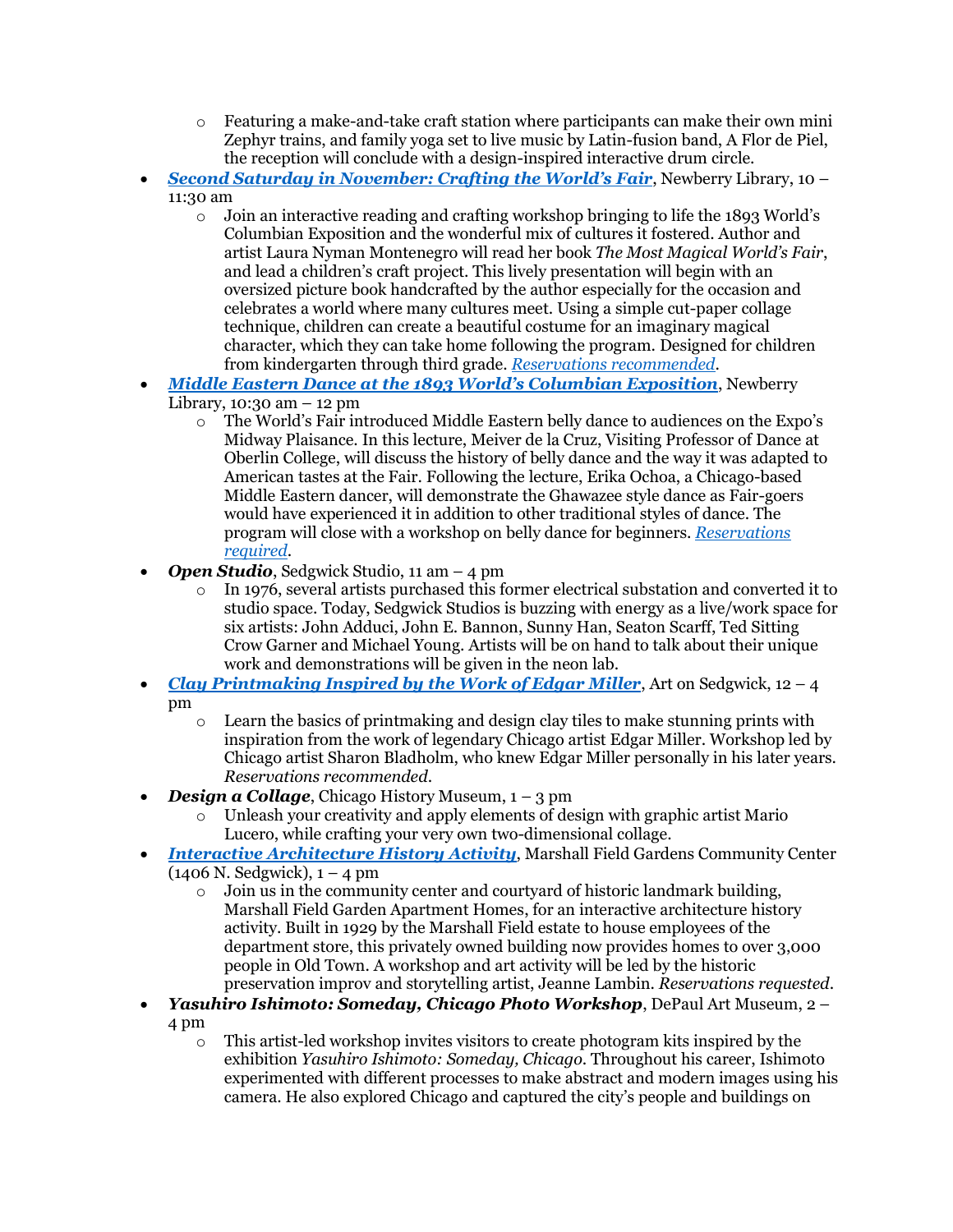- $\circ$  Featuring a make-and-take craft station where participants can make their own mini Zephyr trains, and family yoga set to live music by Latin-fusion band, A Flor de Piel, the reception will conclude with a design-inspired interactive drum circle.
- *[Second Saturday in November: Crafting the World's Fair](https://www.newberry.org/11102018-second-saturday-november-crafting-worlds-fair)*, Newberry Library, 10 11:30 am
	- o Join an interactive reading and crafting workshop bringing to life the 1893 World's Columbian Exposition and the wonderful mix of cultures it fostered. Author and artist Laura Nyman Montenegro will read her book *The Most Magical World's Fair*, and lead a children's craft project. This lively presentation will begin with an oversized picture book handcrafted by the author especially for the occasion and celebrates a world where many cultures meet. Using a simple cut-paper collage technique, children can create a beautiful costume for an imaginary magical character, which they can take home following the program. Designed for children from kindergarten through third grade. *[Reservations recommended](https://www.eventbrite.com/e/second-saturdays-crafting-the-worlds-fair-tickets-47685272935)*.
- *[Middle Eastern Dance at the 1893 World's Columbian Exposition](https://www.newberry.org/11102018-middle-eastern-dance-1893-worlds-columbian-exposition)*, Newberry Library,  $10:30$  am  $-12$  pm
	- o The World's Fair introduced Middle Eastern belly dance to audiences on the Expo's Midway Plaisance. In this lecture, Meiver de la Cruz, Visiting Professor of Dance at Oberlin College, will discuss the history of belly dance and the way it was adapted to American tastes at the Fair. Following the lecture, Erika Ochoa, a Chicago-based Middle Eastern dancer, will demonstrate the Ghawazee style dance as Fair-goers would have experienced it in addition to other traditional styles of dance. The program will close with a workshop on belly dance for beginners. *[Reservations](https://www.eventbrite.com/e/middle-eastern-dance-at-the-1893-worlds-columbian-exposition-tickets-43763818760)  [required](https://www.eventbrite.com/e/middle-eastern-dance-at-the-1893-worlds-columbian-exposition-tickets-43763818760)*.
- *Open Studio*, Sedgwick Studio, 11 am 4 pm
	- o In 1976, several artists purchased this former electrical substation and converted it to studio space. Today, Sedgwick Studios is buzzing with energy as a live/work space for six artists: John Adduci, John E. Bannon, Sunny Han, Seaton Scarff, Ted Sitting Crow Garner and Michael Young. Artists will be on hand to talk about their unique work and demonstrations will be given in the neon lab.
- *[Clay Printmaking Inspired by the Work of Edgar Miller](https://www.eventbrite.com/e/near-north-design-day-tickets-49394669787?ref=ecal)*, Art on Sedgwick, 12 4 pm
	- $\circ$  Learn the basics of printmaking and design clay tiles to make stunning prints with inspiration from the work of legendary Chicago artist Edgar Miller. Workshop led by Chicago artist Sharon Bladholm, who knew Edgar Miller personally in his later years. *Reservations recommended*.
- *Design a Collage*, Chicago History Museum, 1 3 pm
	- o Unleash your creativity and apply elements of design with graphic artist Mario Lucero, while crafting your very own two-dimensional collage.
- *[Interactive Architecture History Activity](https://www.eventbrite.com/e/near-north-design-day-interactive-architecture-activity-tickets-50910249928)*, Marshall Field Gardens Community Center  $(1406 \text{ N. Sedgwick}), 1 - 4 \text{ pm}$ 
	- $\circ$  Join us in the community center and courtyard of historic landmark building, Marshall Field Garden Apartment Homes, for an interactive architecture history activity. Built in 1929 by the Marshall Field estate to house employees of the department store, this privately owned building now provides homes to over 3,000 people in Old Town. A workshop and art activity will be led by the historic preservation improv and storytelling artist, Jeanne Lambin. *Reservations requested*.
- *Yasuhiro Ishimoto: Someday, Chicago Photo Workshop*, DePaul Art Museum, 2 4 pm
	- $\circ$  This artist-led workshop invites visitors to create photogram kits inspired by the exhibition *Yasuhiro Ishimoto: Someday, Chicago*. Throughout his career, Ishimoto experimented with different processes to make abstract and modern images using his camera. He also explored Chicago and captured the city's people and buildings on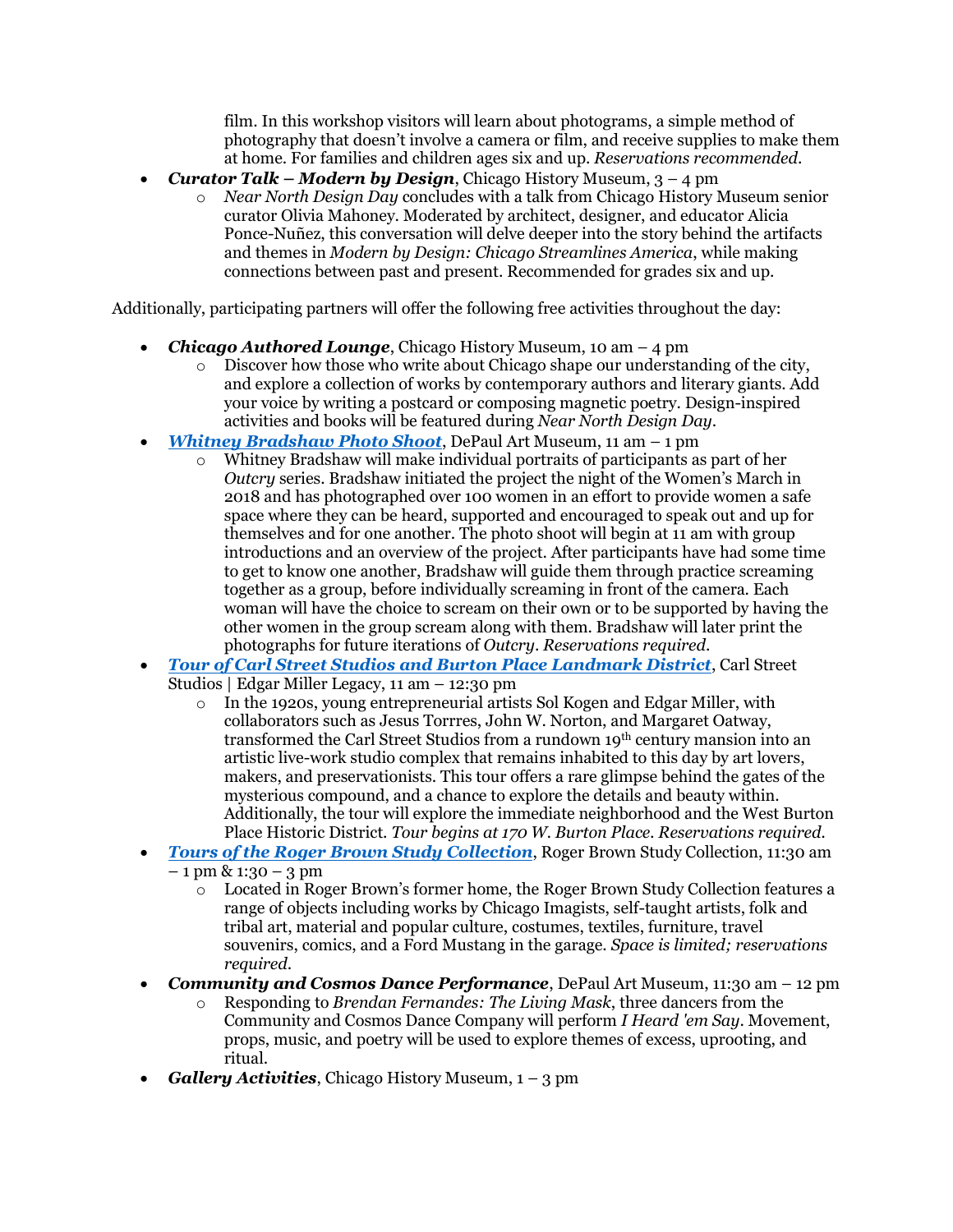film. In this workshop visitors will learn about photograms, a simple method of photography that doesn't involve a camera or film, and receive supplies to make them at home. For families and children ages six and up. *Reservations recommended*.

- *Curator Talk – Modern by Design*, Chicago History Museum, 3 4 pm
	- o *Near North Design Day* concludes with a talk from Chicago History Museum senior curator Olivia Mahoney. Moderated by architect, designer, and educator Alicia Ponce-Nuñez, this conversation will delve deeper into the story behind the artifacts and themes in *Modern by Design: Chicago Streamlines America*, while making connections between past and present. Recommended for grades six and up.

Additionally, participating partners will offer the following free activities throughout the day:

- *Chicago Authored Lounge*, Chicago History Museum, 10 am 4 pm
	- $\circ$  Discover how those who write about Chicago shape our understanding of the city, and explore a collection of works by contemporary authors and literary giants. Add your voice by writing a postcard or composing magnetic poetry. Design-inspired activities and books will be featured during *Near North Design Day*.
- *[Whitney Bradshaw Photo Shoot](https://www.eventbrite.com/e/outcry-photo-shoot-with-whitney-bradshaw-tickets-50887856950)*, DePaul Art Museum, 11 am 1 pm
	- o Whitney Bradshaw will make individual portraits of participants as part of her *Outcry* series. Bradshaw initiated the project the night of the Women's March in 2018 and has photographed over 100 women in an effort to provide women a safe space where they can be heard, supported and encouraged to speak out and up for themselves and for one another. The photo shoot will begin at 11 am with group introductions and an overview of the project. After participants have had some time to get to know one another, Bradshaw will guide them through practice screaming together as a group, before individually screaming in front of the camera. Each woman will have the choice to scream on their own or to be supported by having the other women in the group scream along with them. Bradshaw will later print the photographs for future iterations of *Outcry*. *Reservations required*.
- *[Tour of Carl Street Studios and Burton Place Landmark District](https://www.eventbrite.com/e/near-north-design-day-tour-carl-street-studios-edgar-miller-legacy-tickets-49576776473)*, Carl Street Studios | Edgar Miller Legacy, 11 am – 12:30 pm
	- o In the 1920s, young entrepreneurial artists Sol Kogen and Edgar Miller, with collaborators such as Jesus Torrres, John W. Norton, and Margaret Oatway, transformed the Carl Street Studios from a rundown 19th century mansion into an artistic live-work studio complex that remains inhabited to this day by art lovers, makers, and preservationists. This tour offers a rare glimpse behind the gates of the mysterious compound, and a chance to explore the details and beauty within. Additionally, the tour will explore the immediate neighborhood and the West Burton Place Historic District. *Tour begins at 170 W. Burton Place. Reservations required.*
- *[Tours of the Roger Brown Study Collection](https://www.eventbrite.com/e/tour-of-roger-brown-study-collection-tickets-51150432320)*, Roger Brown Study Collection, 11:30 am  $-1$  pm & 1:30 – 3 pm
	- $\overline{\circ}$  Located in Roger Brown's former home, the Roger Brown Study Collection features a range of objects including works by Chicago Imagists, self-taught artists, folk and tribal art, material and popular culture, costumes, textiles, furniture, travel souvenirs, comics, and a Ford Mustang in the garage. *Space is limited; reservations required*.
- *Community and Cosmos Dance Performance*, DePaul Art Museum, 11:30 am 12 pm
	- o Responding to *Brendan Fernandes: The Living Mask*, three dancers from the Community and Cosmos Dance Company will perform *I Heard 'em Say*. Movement, props, music, and poetry will be used to explore themes of excess, uprooting, and ritual.
- *Gallery Activities*, Chicago History Museum, 1 3 pm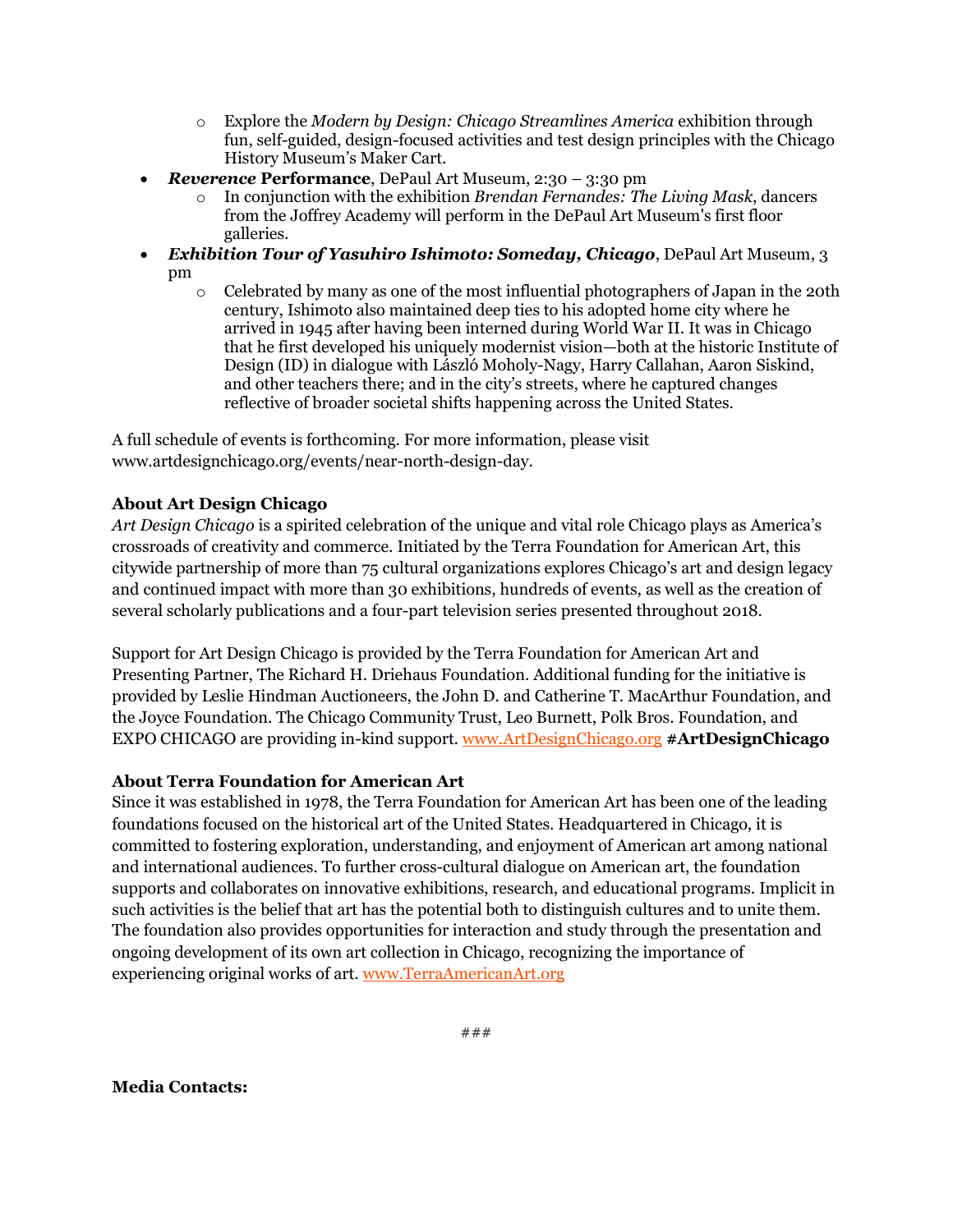- o Explore the *Modern by Design: Chicago Streamlines America* exhibition through fun, self-guided, design-focused activities and test design principles with the Chicago History Museum's Maker Cart.
- *Reverence* **Performance**, DePaul Art Museum, 2:30 3:30 pm
	- o In conjunction with the exhibition *Brendan Fernandes: The Living Mask*, dancers from the Joffrey Academy will perform in the DePaul Art Museum's first floor galleries.
- *Exhibition Tour of Yasuhiro Ishimoto: Someday, Chicago*, DePaul Art Museum, 3 pm
	- o Celebrated by many as one of the most influential photographers of Japan in the 20th century, Ishimoto also maintained deep ties to his adopted home city where he arrived in 1945 after having been interned during World War II. It was in Chicago that he first developed his uniquely modernist vision—both at the historic Institute of Design (ID) in dialogue with László Moholy-Nagy, Harry Callahan, Aaron Siskind, and other teachers there; and in the city's streets, where he captured changes reflective of broader societal shifts happening across the United States.

A full schedule of events is forthcoming. For more information, please visit www.artdesignchicago.org/events/near-north-design-day.

## **About Art Design Chicago**

*Art Design Chicago* is a spirited celebration of the unique and vital role Chicago plays as America's crossroads of creativity and commerce. Initiated by the Terra Foundation for American Art, this citywide partnership of more than 75 cultural organizations explores Chicago's art and design legacy and continued impact with more than 30 exhibitions, hundreds of events, as well as the creation of several scholarly publications and a four-part television series presented throughout 2018.

Support for Art Design Chicago is provided by the Terra Foundation for American Art and Presenting Partner, The Richard H. Driehaus Foundation. Additional funding for the initiative is provided by Leslie Hindman Auctioneers, the John D. and Catherine T. MacArthur Foundation, and the Joyce Foundation. The Chicago Community Trust, Leo Burnett, Polk Bros. Foundation, and EXPO CHICAGO are providing in-kind support. [www.ArtDesignChicago.org](http://www.artdesignchicago.org/) **#ArtDesignChicago**

## **About Terra Foundation for American Art**

Since it was established in 1978, the Terra Foundation for American Art has been one of the leading foundations focused on the historical art of the United States. Headquartered in Chicago, it is committed to fostering exploration, understanding, and enjoyment of American art among national and international audiences. To further cross-cultural dialogue on American art, the foundation supports and collaborates on innovative exhibitions, research, and educational programs. Implicit in such activities is the belief that art has the potential both to distinguish cultures and to unite them. The foundation also provides opportunities for interaction and study through the presentation and ongoing development of its own art collection in Chicago, recognizing the importance of experiencing original works of art. [www.TerraAmericanArt.org](file:///C:/Users/jasculca/AppData/Local/Microsoft/Windows/INetCache/Content.Outlook/TLI9I2XX/www.TerraAmericanArt.org)

**Media Contacts:**